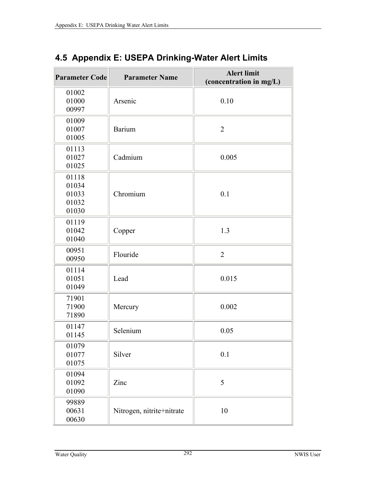| <b>Parameter Code</b>                     | <b>Parameter Name</b>     | <b>Alert limit</b><br>(concentration in mg/L) |
|-------------------------------------------|---------------------------|-----------------------------------------------|
| 01002<br>01000<br>00997                   | Arsenic                   | 0.10                                          |
| 01009<br>01007<br>01005                   | <b>Barium</b>             | $\overline{2}$                                |
| 01113<br>01027<br>01025                   | Cadmium                   | 0.005                                         |
| 01118<br>01034<br>01033<br>01032<br>01030 | Chromium                  | 0.1                                           |
| 01119<br>01042<br>01040                   | Copper                    | 1.3                                           |
| 00951<br>00950                            | Flouride                  | $\overline{2}$                                |
| 01114<br>01051<br>01049                   | Lead                      | 0.015                                         |
| 71901<br>71900<br>71890                   | Mercury                   | 0.002                                         |
| 01147<br>01145                            | Selenium                  | 0.05                                          |
| 01079<br>01077<br>01075                   | Silver                    | 0.1                                           |
| 01094<br>01092<br>01090                   | Zinc                      | 5                                             |
| 99889<br>00631<br>00630                   | Nitrogen, nitrite+nitrate | 10                                            |

## **4.5 Appendix E: USEPA Drinking-Water Alert Limits**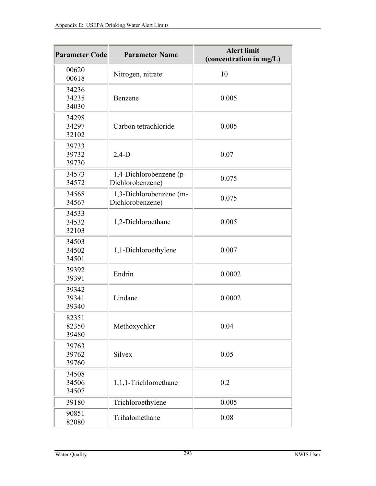| <b>Parameter Code</b>   | <b>Parameter Name</b>                       | <b>Alert limit</b><br>(concentration in mg/L) |
|-------------------------|---------------------------------------------|-----------------------------------------------|
| 00620<br>00618          | Nitrogen, nitrate                           | 10                                            |
| 34236<br>34235<br>34030 | Benzene                                     | 0.005                                         |
| 34298<br>34297<br>32102 | Carbon tetrachloride                        | 0.005                                         |
| 39733<br>39732<br>39730 | $2,4-D$                                     | 0.07                                          |
| 34573<br>34572          | 1,4-Dichlorobenzene (p-<br>Dichlorobenzene) | 0.075                                         |
| 34568<br>34567          | 1,3-Dichlorobenzene (m-<br>Dichlorobenzene) | 0.075                                         |
| 34533<br>34532<br>32103 | 1,2-Dichloroethane                          | 0.005                                         |
| 34503<br>34502<br>34501 | 1,1-Dichloroethylene                        | 0.007                                         |
| 39392<br>39391          | Endrin                                      | 0.0002                                        |
| 39342<br>39341<br>39340 | Lindane                                     | 0.0002                                        |
| 82351<br>82350<br>39480 | Methoxychlor                                | 0.04                                          |
| 39763<br>39762<br>39760 | Silvex                                      | 0.05                                          |
| 34508<br>34506<br>34507 | 1,1,1-Trichloroethane                       | 0.2                                           |
| 39180                   | Trichloroethylene                           | 0.005                                         |
| 90851<br>82080          | Trihalomethane                              | 0.08                                          |